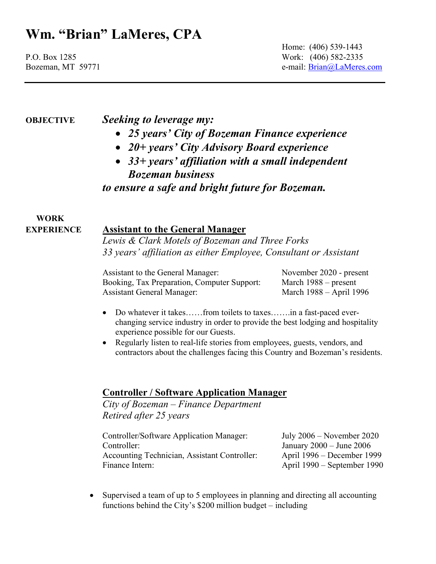Home: (406) 539-1443 P.O. Box 1285 Work: (406) 582-2335 Bozeman, MT 59771 e-mail: Brian@LaMeres.com

## OBJECTIVE Seeking to leverage my:

- 25 years' City of Bozeman Finance experience
- 20+ years' City Advisory Board experience
- 33+ years' affiliation with a small independent Bozeman business

to ensure a safe and bright future for Bozeman.

### WORK EXPERIENCE Assistant to the General Manager

Lewis & Clark Motels of Bozeman and Three Forks 33 years' affiliation as either Employee, Consultant or Assistant

Assistant to the General Manager: November 2020 - present Booking, Tax Preparation, Computer Support: March 1988 – present Assistant General Manager: March 1988 – April 1996

- Do whatever it takes……from toilets to taxes…….in a fast-paced everchanging service industry in order to provide the best lodging and hospitality experience possible for our Guests.
- Regularly listen to real-life stories from employees, guests, vendors, and contractors about the challenges facing this Country and Bozeman's residents.

## Controller / Software Application Manager

City of Bozeman – Finance Department Retired after 25 years

Controller/Software Application Manager: July 2006 – November 2020 Controller: January 2000 – June 2006 Accounting Technician, Assistant Controller: April 1996 – December 1999 Finance Intern: April 1990 – September 1990

• Supervised a team of up to 5 employees in planning and directing all accounting functions behind the City's \$200 million budget – including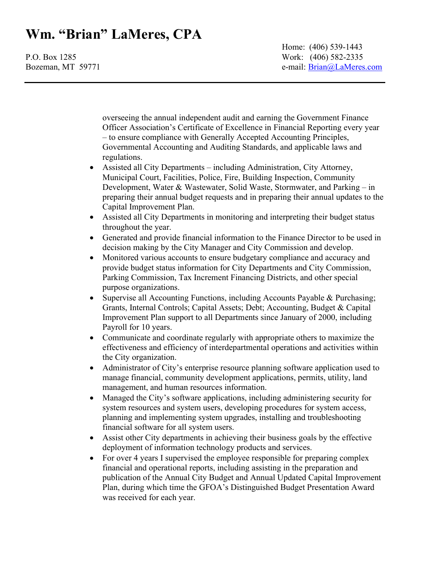Home: (406) 539-1443 P.O. Box 1285 Work: (406) 582-2335 Bozeman, MT 59771 e-mail: Brian@LaMeres.com

> overseeing the annual independent audit and earning the Government Finance Officer Association's Certificate of Excellence in Financial Reporting every year – to ensure compliance with Generally Accepted Accounting Principles, Governmental Accounting and Auditing Standards, and applicable laws and regulations.

- Assisted all City Departments including Administration, City Attorney, Municipal Court, Facilities, Police, Fire, Building Inspection, Community Development, Water & Wastewater, Solid Waste, Stormwater, and Parking – in preparing their annual budget requests and in preparing their annual updates to the Capital Improvement Plan.
- Assisted all City Departments in monitoring and interpreting their budget status throughout the year.
- Generated and provide financial information to the Finance Director to be used in decision making by the City Manager and City Commission and develop.
- Monitored various accounts to ensure budgetary compliance and accuracy and provide budget status information for City Departments and City Commission, Parking Commission, Tax Increment Financing Districts, and other special purpose organizations.
- Supervise all Accounting Functions, including Accounts Payable & Purchasing; Grants, Internal Controls; Capital Assets; Debt; Accounting, Budget & Capital Improvement Plan support to all Departments since January of 2000, including Payroll for 10 years.
- Communicate and coordinate regularly with appropriate others to maximize the effectiveness and efficiency of interdepartmental operations and activities within the City organization.
- Administrator of City's enterprise resource planning software application used to manage financial, community development applications, permits, utility, land management, and human resources information.
- Managed the City's software applications, including administering security for system resources and system users, developing procedures for system access, planning and implementing system upgrades, installing and troubleshooting financial software for all system users.
- Assist other City departments in achieving their business goals by the effective deployment of information technology products and services.
- For over 4 years I supervised the employee responsible for preparing complex financial and operational reports, including assisting in the preparation and publication of the Annual City Budget and Annual Updated Capital Improvement Plan, during which time the GFOA's Distinguished Budget Presentation Award was received for each year.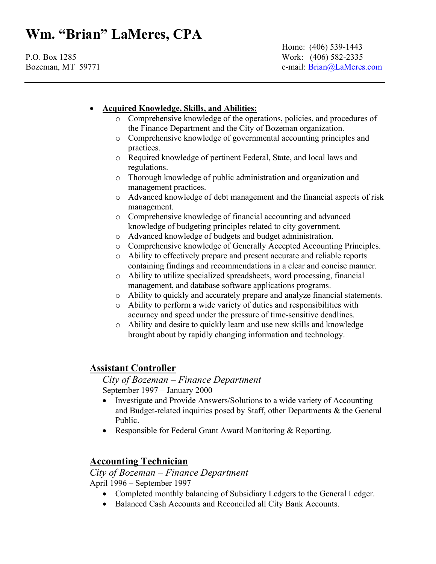Home: (406) 539-1443 P.O. Box 1285 Work: (406) 582-2335 Bozeman, MT 59771 e-mail: Brian@LaMeres.com

### Acquired Knowledge, Skills, and Abilities:

- o Comprehensive knowledge of the operations, policies, and procedures of the Finance Department and the City of Bozeman organization.
- o Comprehensive knowledge of governmental accounting principles and practices.
- o Required knowledge of pertinent Federal, State, and local laws and regulations.
- o Thorough knowledge of public administration and organization and management practices.
- o Advanced knowledge of debt management and the financial aspects of risk management.
- o Comprehensive knowledge of financial accounting and advanced knowledge of budgeting principles related to city government.
- o Advanced knowledge of budgets and budget administration.
- o Comprehensive knowledge of Generally Accepted Accounting Principles.
- o Ability to effectively prepare and present accurate and reliable reports containing findings and recommendations in a clear and concise manner.
- o Ability to utilize specialized spreadsheets, word processing, financial management, and database software applications programs.
- o Ability to quickly and accurately prepare and analyze financial statements.
- o Ability to perform a wide variety of duties and responsibilities with accuracy and speed under the pressure of time-sensitive deadlines.
- o Ability and desire to quickly learn and use new skills and knowledge brought about by rapidly changing information and technology.

## Assistant Controller

 City of Bozeman – Finance Department September 1997 – January 2000

- Investigate and Provide Answers/Solutions to a wide variety of Accounting and Budget-related inquiries posed by Staff, other Departments & the General Public.
- Responsible for Federal Grant Award Monitoring & Reporting.

## Accounting Technician

City of Bozeman – Finance Department April 1996 – September 1997

- Completed monthly balancing of Subsidiary Ledgers to the General Ledger.
- Balanced Cash Accounts and Reconciled all City Bank Accounts.